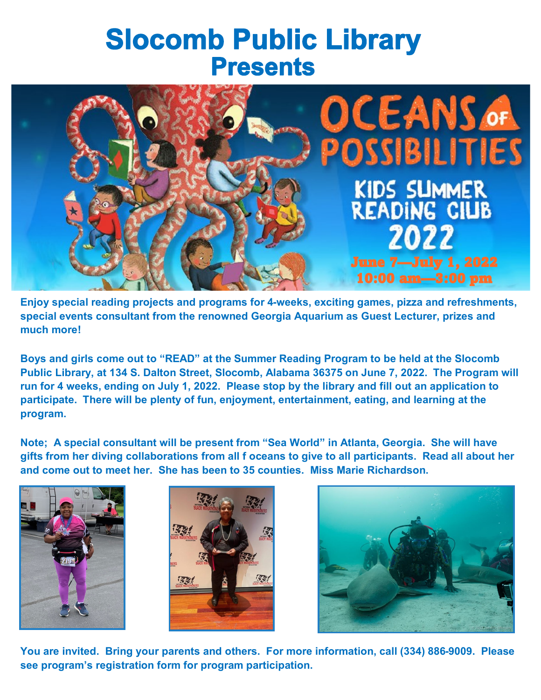## **Slocomb Public Library Presents**



**Enjoy special reading projects and programs for 4-weeks, exciting games, pizza and refreshments, special events consultant from the renowned Georgia Aquarium as Guest Lecturer, prizes and much more!** 

**Boys and girls come out to "READ" at the Summer Reading Program to be held at the Slocomb Public Library, at 134 S. Dalton Street, Slocomb, Alabama 36375 on June 7, 2022. The Program will run for 4 weeks, ending on July 1, 2022. Please stop by the library and fill out an application to participate. There will be plenty of fun, enjoyment, entertainment, eating, and learning at the program.**

**Note; A special consultant will be present from "Sea World" in Atlanta, Georgia. She will have gifts from her diving collaborations from all f oceans to give to all participants. Read all about her and come out to meet her. She has been to 35 counties. Miss Marie Richardson.** 







**You are invited. Bring your parents and others. For more information, call (334) 886-9009. Please see program's registration form for program participation.**